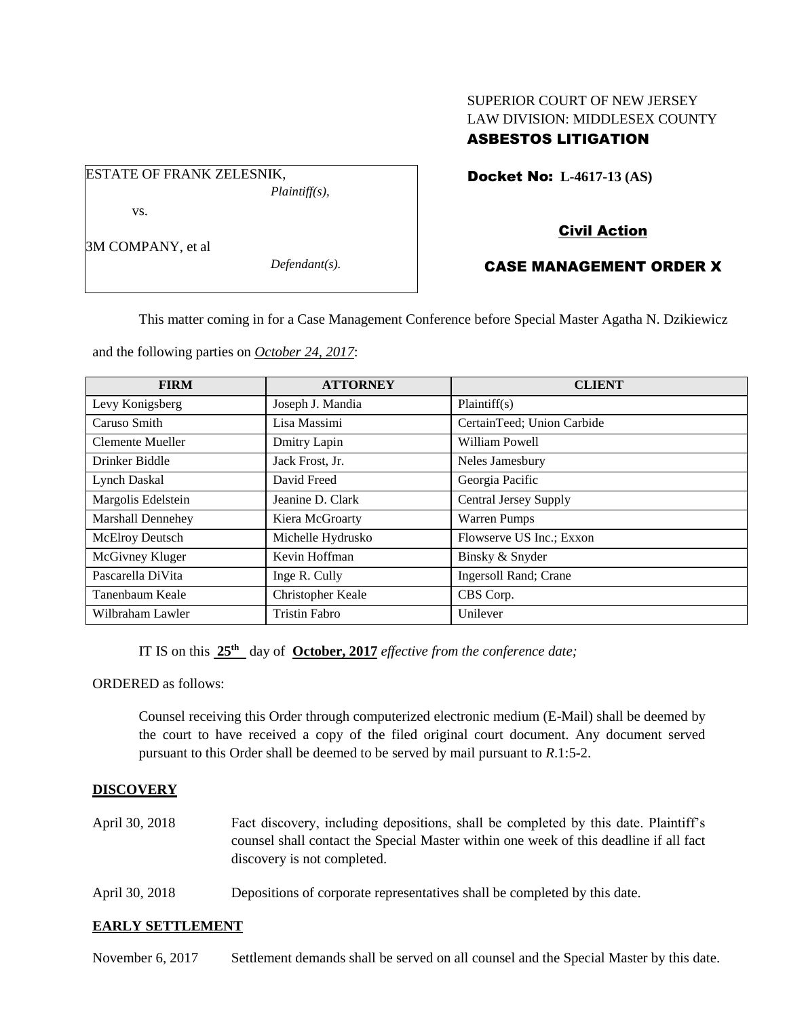## SUPERIOR COURT OF NEW JERSEY LAW DIVISION: MIDDLESEX COUNTY ASBESTOS LITIGATION

Docket No: **L-4617-13 (AS)** 

# Civil Action

# CASE MANAGEMENT ORDER X

This matter coming in for a Case Management Conference before Special Master Agatha N. Dzikiewicz

and the following parties on *October 24, 2017*:

*Defendant(s).*

| <b>FIRM</b>        | <b>ATTORNEY</b>      | <b>CLIENT</b>                |
|--------------------|----------------------|------------------------------|
| Levy Konigsberg    | Joseph J. Mandia     | Plaintiff(s)                 |
| Caruso Smith       | Lisa Massimi         | CertainTeed; Union Carbide   |
| Clemente Mueller   | Dmitry Lapin         | William Powell               |
| Drinker Biddle     | Jack Frost, Jr.      | Neles Jamesbury              |
| Lynch Daskal       | David Freed          | Georgia Pacific              |
| Margolis Edelstein | Jeanine D. Clark     | <b>Central Jersey Supply</b> |
| Marshall Dennehey  | Kiera McGroarty      | Warren Pumps                 |
| McElroy Deutsch    | Michelle Hydrusko    | Flowserve US Inc.; Exxon     |
| McGivney Kluger    | Kevin Hoffman        | Binsky & Snyder              |
| Pascarella DiVita  | Inge R. Cully        | Ingersoll Rand; Crane        |
| Tanenbaum Keale    | Christopher Keale    | CBS Corp.                    |
| Wilbraham Lawler   | <b>Tristin Fabro</b> | Unilever                     |

IT IS on this  $25<sup>th</sup>$  day of **October, 2017** *effective from the conference date*;

ORDERED as follows:

Counsel receiving this Order through computerized electronic medium (E-Mail) shall be deemed by the court to have received a copy of the filed original court document. Any document served pursuant to this Order shall be deemed to be served by mail pursuant to *R*.1:5-2.

### **DISCOVERY**

- April 30, 2018 Fact discovery, including depositions, shall be completed by this date. Plaintiff's counsel shall contact the Special Master within one week of this deadline if all fact discovery is not completed.
- April 30, 2018 Depositions of corporate representatives shall be completed by this date.

### **EARLY SETTLEMENT**

November 6, 2017 Settlement demands shall be served on all counsel and the Special Master by this date.

ESTATE OF FRANK ZELESNIK, *Plaintiff(s),*

vs.

3M COMPANY, et al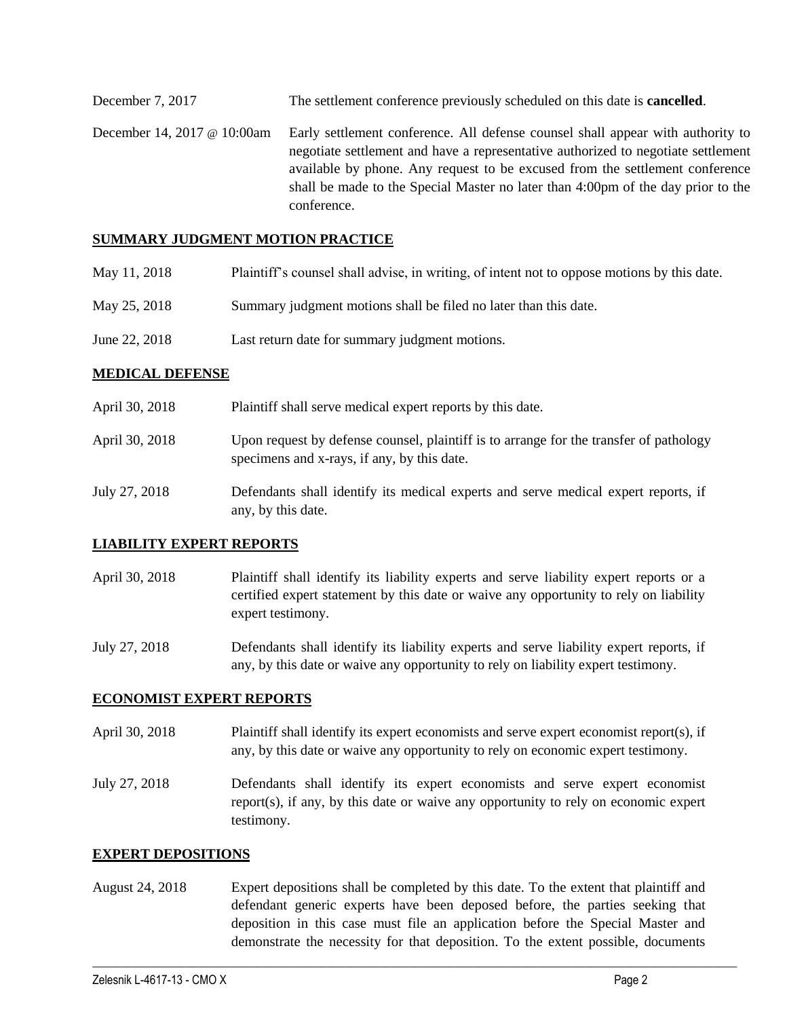December 7, 2017 The settlement conference previously scheduled on this date is **cancelled**. December 14, 2017 @ 10:00am Early settlement conference. All defense counsel shall appear with authority to negotiate settlement and have a representative authorized to negotiate settlement available by phone. Any request to be excused from the settlement conference shall be made to the Special Master no later than 4:00pm of the day prior to the conference.

### **SUMMARY JUDGMENT MOTION PRACTICE**

- May 11, 2018 Plaintiff's counsel shall advise, in writing, of intent not to oppose motions by this date.
- May 25, 2018 Summary judgment motions shall be filed no later than this date.
- June 22, 2018 Last return date for summary judgment motions.

#### **MEDICAL DEFENSE**

| April 30, 2018 | Plaintiff shall serve medical expert reports by this date.                                                                            |
|----------------|---------------------------------------------------------------------------------------------------------------------------------------|
| April 30, 2018 | Upon request by defense counsel, plaintiff is to arrange for the transfer of pathology<br>specimens and x-rays, if any, by this date. |
| July 27, 2018  | Defendants shall identify its medical experts and serve medical expert reports, if<br>any, by this date.                              |

#### **LIABILITY EXPERT REPORTS**

April 30, 2018 Plaintiff shall identify its liability experts and serve liability expert reports or a certified expert statement by this date or waive any opportunity to rely on liability expert testimony.

July 27, 2018 Defendants shall identify its liability experts and serve liability expert reports, if any, by this date or waive any opportunity to rely on liability expert testimony.

#### **ECONOMIST EXPERT REPORTS**

- April 30, 2018 Plaintiff shall identify its expert economists and serve expert economist report(s), if any, by this date or waive any opportunity to rely on economic expert testimony.
- July 27, 2018 Defendants shall identify its expert economists and serve expert economist report(s), if any, by this date or waive any opportunity to rely on economic expert testimony.

#### **EXPERT DEPOSITIONS**

August 24, 2018 Expert depositions shall be completed by this date. To the extent that plaintiff and defendant generic experts have been deposed before, the parties seeking that deposition in this case must file an application before the Special Master and demonstrate the necessity for that deposition. To the extent possible, documents

 $\_$  ,  $\_$  ,  $\_$  ,  $\_$  ,  $\_$  ,  $\_$  ,  $\_$  ,  $\_$  ,  $\_$  ,  $\_$  ,  $\_$  ,  $\_$  ,  $\_$  ,  $\_$  ,  $\_$  ,  $\_$  ,  $\_$  ,  $\_$  ,  $\_$  ,  $\_$  ,  $\_$  ,  $\_$  ,  $\_$  ,  $\_$  ,  $\_$  ,  $\_$  ,  $\_$  ,  $\_$  ,  $\_$  ,  $\_$  ,  $\_$  ,  $\_$  ,  $\_$  ,  $\_$  ,  $\_$  ,  $\_$  ,  $\_$  ,